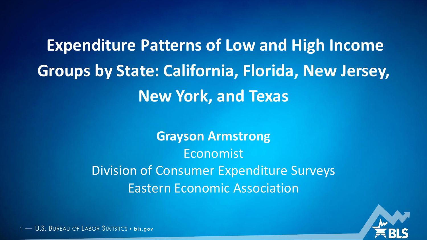**Expenditure Patterns of Low and High Income Groups by State: California, Florida, New Jersey, New York, and Texas**

> **Grayson Armstrong** Economist Division of Consumer Expenditure Surveys Eastern Economic Association



<sup>1</sup> — U.S. BUREAU OF LABOR STATISTICS • **bl s.gov**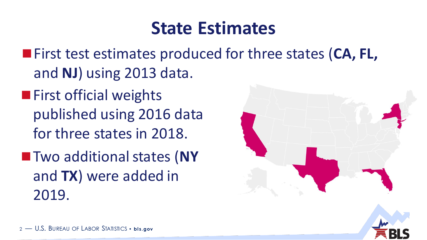### **State Estimates**

- First test estimates produced for three states (**CA, FL,** and **NJ**) using 2013 data.
- **First official weights** published using 2016 data for three states in 2018.
- **Two additional states (NY** and **TX**) were added in 2019.



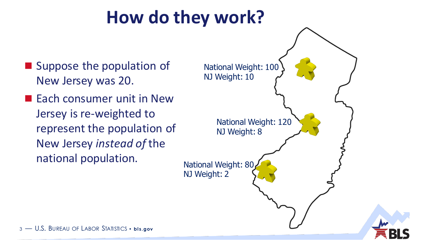## **How do they work?**

- Suppose the population of New Jersey was 20.
- **Each consumer unit in New** Jersey is re-weighted to represent the population of New Jersey *instead of* the national population.

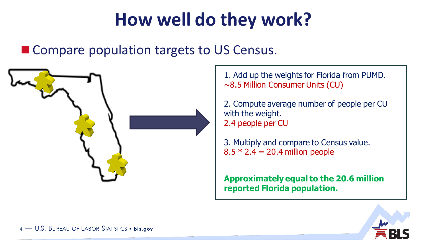## **How well do they work?**

### ■ Compare population targets to US Census.



1. Add up the weights for Florida from PUMD. ~8.5 Million Consumer Units (CU)

2. Compute average number of people per CU with the weight. 2.4 people per CU

3. Multiply and compare to Census value.  $8.5 * 2.4 = 20.4$  million people

**Approximately equal to the 20.6 million reported Florida population.** 

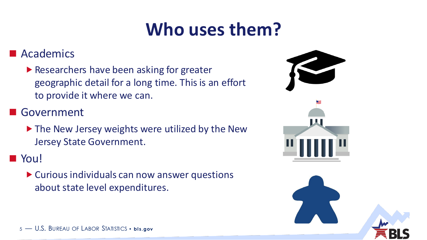## **Who uses them?**

#### **Academics**

▶ Researchers have been asking for greater geographic detail for a long time. This is an effort to provide it where we can.

#### Government

▶ The New Jersey weights were utilized by the New Jersey State Government.

### **N** You!

Curious individuals can now answer questions about state level expenditures.

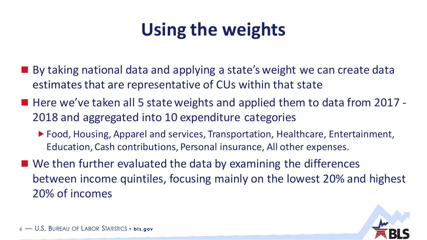# **Using the weights**

- By taking national data and applying a state's weight we can create data estimates that are representative of CUs within that state
- Here we've taken all 5 state weights and applied them to data from 2017 -2018 and aggregated into 10 expenditure categories
	- ▶ Food, Housing, Apparel and services, Transportation, Healthcare, Entertainment, Education, Cash contributions, Personal insurance, All other expenses.
- We then further evaluated the data by examining the differences between income quintiles, focusing mainly on the lowest 20% and highest 20% of incomes

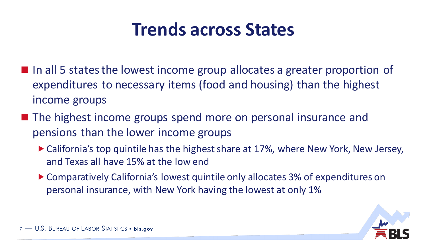### **Trends across States**

- In all 5 states the lowest income group allocates a greater proportion of expenditures to necessary items (food and housing) than the highest income groups
- The highest income groups spend more on personal insurance and pensions than the lower income groups
	- ▶ California's top quintile has the highest share at 17%, where New York, New Jersey, and Texas all have 15% at the low end
	- ▶ Comparatively California's lowest quintile only allocates 3% of expenditures on personal insurance, with New York having the lowest at only 1%

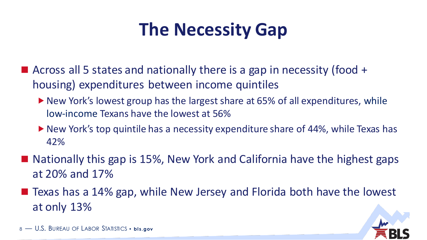## **The Necessity Gap**

- Across all 5 states and nationally there is a gap in necessity (food  $+$ housing) expenditures between income quintiles
	- ▶ New York's lowest group has the largest share at 65% of all expenditures, while low-income Texans have the lowest at 56%
	- ▶ New York's top quintile has a necessity expenditure share of 44%, while Texas has 42%
- $\blacksquare$  Nationally this gap is 15%, New York and California have the highest gaps at 20% and 17%
- Texas has a 14% gap, while New Jersey and Florida both have the lowest at only 13%

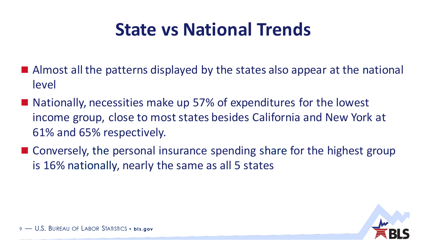## **State vs National Trends**

- Almost all the patterns displayed by the states also appear at the national level
- Nationally, necessities make up 57% of expenditures for the lowest income group, close to most states besides California and New York at 61% and 65% respectively.
- Conversely, the personal insurance spending share for the highest group is 16% nationally, nearly the same as all 5 states

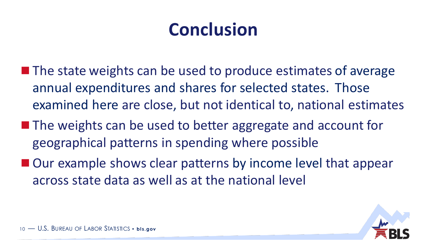## **Conclusion**

- $\blacksquare$  The state weights can be used to produce estimates of average annual expenditures and shares for selected states. Those examined here are close, but not identical to, national estimates
- The weights can be used to better aggregate and account for geographical patterns in spending where possible
- Our example shows clear patterns by income level that appear across state data as well as at the national level

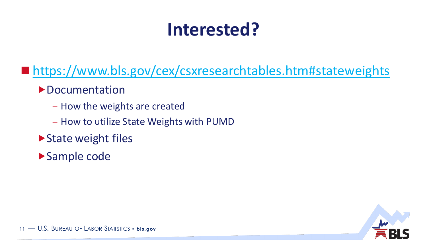## **Interested?**

■ <https://www.bls.gov/cex/csxresearchtables.htm#stateweights>

**Documentation** 

- How the weights are created
- How to utilize State Weights with PUMD
- ▶ State weight files

Sample code